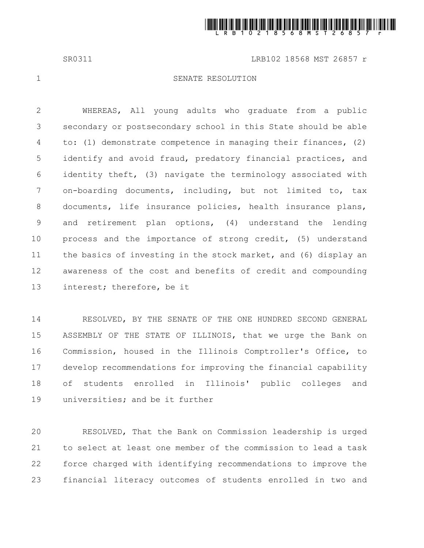

SR0311 LRB102 18568 MST 26857 r

1

## SENATE RESOLUTION

WHEREAS, All young adults who graduate from a public secondary or postsecondary school in this State should be able to: (1) demonstrate competence in managing their finances, (2) identify and avoid fraud, predatory financial practices, and identity theft, (3) navigate the terminology associated with on-boarding documents, including, but not limited to, tax documents, life insurance policies, health insurance plans, and retirement plan options, (4) understand the lending process and the importance of strong credit, (5) understand the basics of investing in the stock market, and (6) display an awareness of the cost and benefits of credit and compounding interest; therefore, be it 2 3 4 5 6 7 8 9 10 11 12 13

RESOLVED, BY THE SENATE OF THE ONE HUNDRED SECOND GENERAL ASSEMBLY OF THE STATE OF ILLINOIS, that we urge the Bank on Commission, housed in the Illinois Comptroller's Office, to develop recommendations for improving the financial capability of students enrolled in Illinois' public colleges and universities; and be it further 14 15 16 17 18 19

RESOLVED, That the Bank on Commission leadership is urged to select at least one member of the commission to lead a task force charged with identifying recommendations to improve the financial literacy outcomes of students enrolled in two and 20 21 22 23